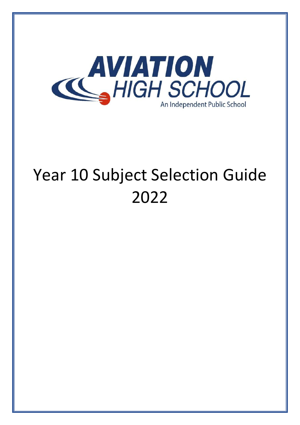

# Year 10 Subject Selection Guide 2022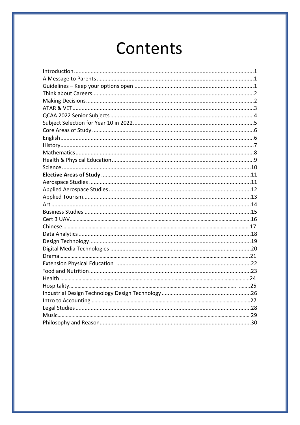# Contents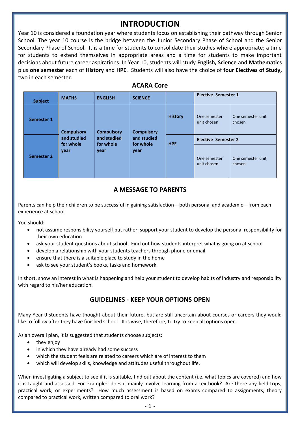### **INTRODUCTION**

Year 10 is considered a foundation year where students focus on establishing their pathway through Senior School. The year 10 course is the bridge between the Junior Secondary Phase of School and the Senior Secondary Phase of School. It is a time for students to consolidate their studies where appropriate; a time for students to extend themselves in appropriate areas and a time for students to make important decisions about future career aspirations. In Year 10, students will study **English, Science** and **Mathematics** plus **one semester** each of **History** and **HPE**. Students will also have the choice of **four Electives of Study,**  two in each semester.

| <b>Subject</b>    | <b>MATHS</b>                                          | <b>ENGLISH</b>                                        | <b>SCIENCE</b>                                        |                | <b>Elective Semester 1</b>  |                             |  |
|-------------------|-------------------------------------------------------|-------------------------------------------------------|-------------------------------------------------------|----------------|-----------------------------|-----------------------------|--|
| Semester 1        | <b>Compulsory</b><br>and studied<br>for whole<br>year | <b>Compulsory</b><br>and studied<br>for whole<br>year | <b>Compulsory</b><br>and studied<br>for whole<br>year | <b>History</b> | One semester<br>unit chosen | One semester unit<br>chosen |  |
|                   |                                                       |                                                       |                                                       | <b>HPE</b>     | <b>Elective Semester 2</b>  |                             |  |
| <b>Semester 2</b> |                                                       |                                                       |                                                       |                | One semester<br>unit chosen | One semester unit<br>chosen |  |

### **ACARA Core**

### **A MESSAGE TO PARENTS**

Parents can help their children to be successful in gaining satisfaction – both personal and academic – from each experience at school.

You should:

- not assume responsibility yourself but rather, support your student to develop the personal responsibility for their own education
- ask your student questions about school. Find out how students interpret what is going on at school
- develop a relationship with your students teachers through phone or email
- ensure that there is a suitable place to study in the home
- ask to see your student's books, tasks and homework.

In short, show an interest in what is happening and help your student to develop habits of industry and responsibility with regard to his/her education.

### **GUIDELINES - KEEP YOUR OPTIONS OPEN**

Many Year 9 students have thought about their future, but are still uncertain about courses or careers they would like to follow after they have finished school. It is wise, therefore, to try to keep all options open.

As an overall plan, it is suggested that students choose subjects:

- they enjoy
- in which they have already had some success
- which the student feels are related to careers which are of interest to them
- which will develop skills, knowledge and attitudes useful throughout life.

When investigating a subject to see if it is suitable, find out about the content (i.e. what topics are covered) and how it is taught and assessed. For example: does it mainly involve learning from a textbook? Are there any field trips, practical work, or experiments? How much assessment is based on exams compared to assignments, theory compared to practical work, written compared to oral work?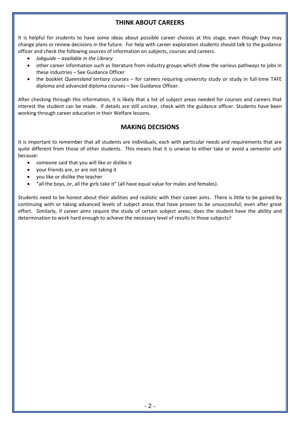### **THINK ABOUT CAREERS**

It is helpful for students to have some ideas about possible career choices at this stage, even though they may change plans or review decisions in the future. For help with career exploration students should talk to the guidance officer and check the following sources of information on subjects, courses and careers.

- *Jobguide – available in the Library*
- other career information such as literature from industry groups which show the various pathways to jobs in these industries – See Guidance Officer
- the booklet *Queensland tertiary courses* for careers requiring university study or study in full-time TAFE diploma and advanced diploma courses – See Guidance Officer.

After checking through this information, it is likely that a list of subject areas needed for courses and careers that interest the student can be made. If details are still unclear, check with the guidance officer. Students have been working through career education in their Welfare lessons.

### **MAKING DECISIONS**

It is important to remember that all students are individuals, each with particular needs and requirements that are quite different from those of other students. This means that it is unwise to either take or avoid a semester unit because:

- someone said that you will like or dislike it
- your friends are, or are not taking it
- you like or dislike the teacher
- "all the boys, or, all the girls take it" (all have equal value for males and females).

Students need to be honest about their abilities and realistic with their career aims. There is little to be gained by continuing with or taking advanced levels of subject areas that have proven to be unsuccessful; even after great effort. Similarly, if career aims require the study of certain subject areas; does the student have the ability and determination to work hard enough to achieve the necessary level of results in those subjects?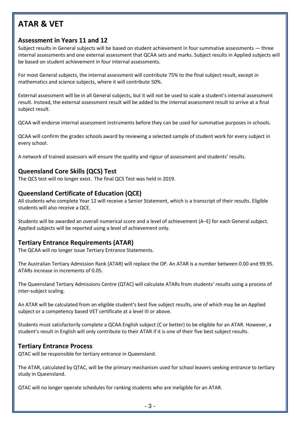# **ATAR & VET**

### **Assessment in Years 11 and 12**

Subject results in General subjects will be based on student achievement in four summative assessments — three internal assessments and one external assessment that QCAA sets and marks. Subject results in Applied subjects will be based on student achievement in four internal assessments.

For most General subjects, the internal assessment will contribute 75% to the final subject result, except in mathematics and science subjects, where it will contribute 50%.

External assessment will be in all General subjects, but it will not be used to scale a student's internal assessment result. Instead, the external assessment result will be added to the internal assessment result to arrive at a final subject result.

QCAA will endorse internal assessment instruments before they can be used for summative purposes in schools.

QCAA will confirm the grades schools award by reviewing a selected sample of student work for every subject in every school.

A network of trained assessors will ensure the quality and rigour of assessment and students' results.

### **Queensland Core Skills (QCS) Test**

The QCS test will no longer exist. The final QCS Test was held in 2019.

### **Queensland Certificate of Education (QCE)**

All students who complete Year 12 will receive a Senior Statement, which is a transcript of their results. Eligible students will also receive a QCE.

Students will be awarded an overall numerical score and a level of achievement (A–E) for each General subject. Applied subjects will be reported using a level of achievement only.

### **Tertiary Entrance Requirements (ATAR)**

The QCAA will no longer issue Tertiary Entrance Statements.

The Australian Tertiary Admission Rank (ATAR) will replace the OP. An ATAR is a number between 0.00 and 99.95. ATARs increase in increments of 0.05.

The Queensland Tertiary Admissions Centre (QTAC) will calculate ATARs from students' results using a process of inter-subject scaling.

An ATAR will be calculated from an eligible student's best five subject results, one of which may be an Applied subject or a competency based VET certificate at a level III or above.

Students must satisfactorily complete a QCAA English subject (C or better) to be eligible for an ATAR. However, a student's result in English will only contribute to their ATAR if it is one of their five best subject results.

#### **Tertiary Entrance Process**

QTAC will be responsible for tertiary entrance in Queensland.

The ATAR, calculated by QTAC, will be the primary mechanism used for school leavers seeking entrance to tertiary study in Queensland.

QTAC will no longer operate schedules for ranking students who are ineligible for an ATAR.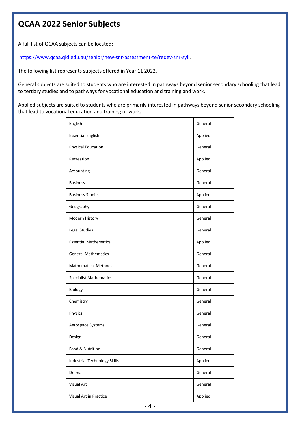### **QCAA 2022 Senior Subjects**

A full list of QCAA subjects can be located:

[https://www.qcaa.qld.edu.au/senior/new-snr-assessment-te/redev-snr-syll.](https://www.qcaa.qld.edu.au/senior/new-snr-assessment-te/redev-snr-syll)

The following list represents subjects offered in Year 11 2022.

General subjects are suited to students who are interested in pathways beyond senior secondary schooling that lead to tertiary studies and to pathways for vocational education and training and work.

Applied subjects are suited to students who are primarily interested in pathways beyond senior secondary schooling that lead to vocational education and training or work.

| English                             | General |
|-------------------------------------|---------|
| <b>Essential English</b>            | Applied |
| <b>Physical Education</b>           | General |
| Recreation                          | Applied |
| Accounting                          | General |
| <b>Business</b>                     | General |
| <b>Business Studies</b>             | Applied |
| Geography                           | General |
| Modern History                      | General |
| Legal Studies                       | General |
| <b>Essential Mathematics</b>        | Applied |
| <b>General Mathematics</b>          | General |
| <b>Mathematical Methods</b>         | General |
| <b>Specialist Mathematics</b>       | General |
| Biology                             | General |
| Chemistry                           | General |
| Physics                             | General |
| Aerospace Systems                   | General |
| Design                              | General |
| Food & Nutrition                    | General |
| <b>Industrial Technology Skills</b> | Applied |
| Drama                               | General |
| Visual Art                          | General |
| Visual Art in Practice              | Applied |
|                                     |         |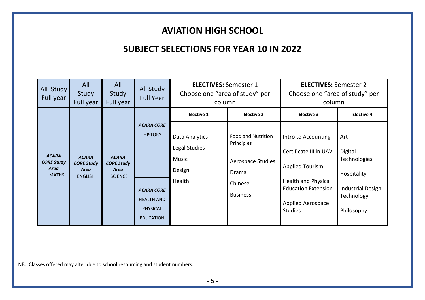### **AVIATION HIGH SCHOOL**

### **SUBJECT SELECTIONS FOR YEAR 10 IN 2022**

| All Study<br>Full year                                           | All<br>Study<br>Full year                                          | All<br>Study<br>Full year                                   | All Study<br><b>Full Year</b>                                                                                        | <b>ELECTIVES: Semester 1</b><br>Choose one "area of study" per<br>column |                                                                                              | <b>ELECTIVES: Semester 2</b><br>Choose one "area of study" per<br>column                                                                                                          |                                                                                                       |
|------------------------------------------------------------------|--------------------------------------------------------------------|-------------------------------------------------------------|----------------------------------------------------------------------------------------------------------------------|--------------------------------------------------------------------------|----------------------------------------------------------------------------------------------|-----------------------------------------------------------------------------------------------------------------------------------------------------------------------------------|-------------------------------------------------------------------------------------------------------|
|                                                                  |                                                                    |                                                             |                                                                                                                      | <b>Elective 1</b>                                                        | <b>Elective 2</b>                                                                            | <b>Elective 3</b>                                                                                                                                                                 | <b>Elective 4</b>                                                                                     |
| <b>ACARA</b><br><b>CORE Study</b><br><b>Area</b><br><b>MATHS</b> | <b>ACARA</b><br><b>CORE Study</b><br><b>Area</b><br><b>ENGLISH</b> | <b>ACARA</b><br><b>CORE Study</b><br>Area<br><b>SCIENCE</b> | <b>ACARA CORE</b><br><b>HISTORY</b><br><b>ACARA CORE</b><br><b>HEALTH AND</b><br><b>PHYSICAL</b><br><b>EDUCATION</b> | Data Analytics<br>Legal Studies<br>Music<br>Design<br>Health             | Food and Nutrition<br>Principles<br>Aerospace Studies<br>Drama<br>Chinese<br><b>Business</b> | Intro to Accounting<br>Certificate III in UAV<br><b>Applied Tourism</b><br><b>Health and Physical</b><br><b>Education Extension</b><br><b>Applied Aerospace</b><br><b>Studies</b> | Art<br>Digital<br>Technologies<br>Hospitality<br><b>Industrial Design</b><br>Technology<br>Philosophy |

NB: Classes offered may alter due to school resourcing and student numbers.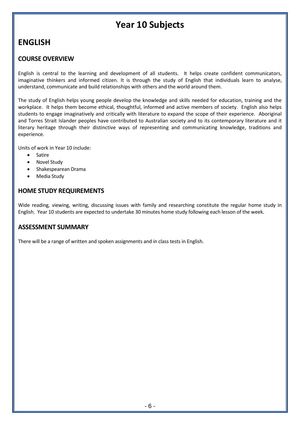# **Year 10 Subjects**

### **ENGLISH**

### **COURSE OVERVIEW**

English is central to the learning and development of all students. It helps create confident communicators, imaginative thinkers and informed citizen. It is through the study of English that individuals learn to analyse, understand, communicate and build relationships with others and the world around them.

The study of English helps young people develop the knowledge and skills needed for education, training and the workplace. It helps them become ethical, thoughtful, informed and active members of society. English also helps students to engage imaginatively and critically with literature to expand the scope of their experience. Aboriginal and Torres Strait Islander peoples have contributed to Australian society and to its contemporary literature and it literary heritage through their distinctive ways of representing and communicating knowledge, traditions and experience.

Units of work in Year 10 include:

- Satire
- Novel Study
- Shakespearean Drama
- Media Study

### **HOME STUDY REQUIREMENTS**

Wide reading, viewing, writing, discussing issues with family and researching constitute the regular home study in English. Year 10 students are expected to undertake 30 minutes home study following each lesson of the week.

### **ASSESSMENT SUMMARY**

There will be a range of written and spoken assignments and in class tests in English.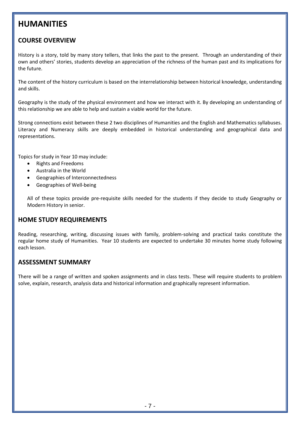### **HUMANITIES**

### **COURSE OVERVIEW**

History is a story, told by many story tellers, that links the past to the present. Through an understanding of their own and others' stories, students develop an appreciation of the richness of the human past and its implications for the future.

The content of the history curriculum is based on the interrelationship between historical knowledge, understanding and skills.

Geography is the study of the physical environment and how we interact with it. By developing an understanding of this relationship we are able to help and sustain a viable world for the future.

Strong connections exist between these 2 two disciplines of Humanities and the English and Mathematics syllabuses. Literacy and Numeracy skills are deeply embedded in historical understanding and geographical data and representations.

Topics for study in Year 10 may include:

- Rights and Freedoms
- Australia in the World
- Geographies of Interconnectedness
- Geographies of Well-being

All of these topics provide pre-requisite skills needed for the students if they decide to study Geography or Modern History in senior.

### **HOME STUDY REQUIREMENTS**

Reading, researching, writing, discussing issues with family, problem-solving and practical tasks constitute the regular home study of Humanities. Year 10 students are expected to undertake 30 minutes home study following each lesson.

### **ASSESSMENT SUMMARY**

There will be a range of written and spoken assignments and in class tests. These will require students to problem solve, explain, research, analysis data and historical information and graphically represent information.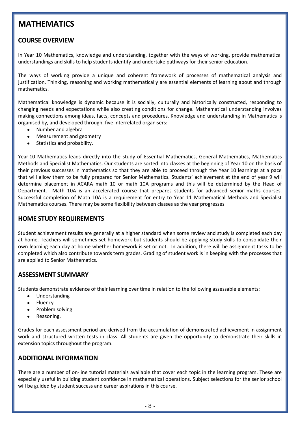### **MATHEMATICS**

### **COURSE OVERVIEW**

In Year 10 Mathematics, knowledge and understanding, together with the ways of working, provide mathematical understandings and skills to help students identify and undertake pathways for their senior education.

The ways of working provide a unique and coherent framework of processes of mathematical analysis and justification. Thinking, reasoning and working mathematically are essential elements of learning about and through mathematics.

Mathematical knowledge is dynamic because it is socially, culturally and historically constructed, responding to changing needs and expectations while also creating conditions for change. Mathematical understanding involves making connections among ideas, facts, concepts and procedures. Knowledge and understanding in Mathematics is organised by, and developed through, five interrelated organisers:

- Number and algebra
- Measurement and geometry
- Statistics and probability.

Year 10 Mathematics leads directly into the study of Essential Mathematics, General Mathematics, Mathematics Methods and Specialist Mathematics. Our students are sorted into classes at the beginning of Year 10 on the basis of their previous successes in mathematics so that they are able to proceed through the Year 10 learnings at a pace that will allow them to be fully prepared for Senior Mathematics. Students' achievement at the end of year 9 will determine placement in ACARA math 10 or math 10A programs and this will be determined by the Head of Department. Math 10A is an accelerated course that prepares students for advanced senior maths courses. Successful completion of Math 10A is a requirement for entry to Year 11 Mathematical Methods and Specialist Mathematics courses. There may be some flexibility between classes as the year progresses.

### **HOME STUDY REQUIREMENTS**

Student achievement results are generally at a higher standard when some review and study is completed each day at home. Teachers will sometimes set homework but students should be applying study skills to consolidate their own learning each day at home whether homework is set or not. In addition, there will be assignment tasks to be completed which also contribute towards term grades. Grading of student work is in keeping with the processes that are applied to Senior Mathematics.

### **ASSESSMENT SUMMARY**

Students demonstrate evidence of their learning over time in relation to the following assessable elements:

- Understanding
- Fluency
- Problem solving
- Reasoning.

Grades for each assessment period are derived from the accumulation of demonstrated achievement in assignment work and structured written tests in class. All students are given the opportunity to demonstrate their skills in extension topics throughout the program.

#### **ADDITIONAL INFORMATION**

There are a number of on-line tutorial materials available that cover each topic in the learning program. These are especially useful in building student confidence in mathematical operations. Subject selections for the senior school will be guided by student success and career aspirations in this course.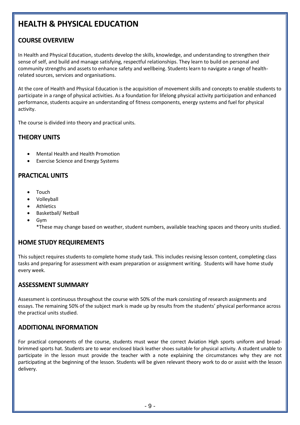# **HEALTH & PHYSICAL EDUCATION**

### **COURSE OVERVIEW**

In Health and Physical Education, students develop the skills, knowledge, and understanding to strengthen their sense of self, and build and manage satisfying, respectful relationships. They learn to build on personal and community strengths and assets to enhance safety and wellbeing. Students learn to navigate a range of healthrelated sources, services and organisations.

At the core of Health and Physical Education is the acquisition of movement skills and concepts to enable students to participate in a range of physical activities. As a foundation for lifelong physical activity participation and enhanced performance, students acquire an understanding of fitness components, energy systems and fuel for physical activity.

The course is divided into theory and practical units.

### **THEORY UNITS**

- Mental Health and Health Promotion
- Exercise Science and Energy Systems

### **PRACTICAL UNITS**

- Touch
- Volleyball
- **Athletics**
- Basketball/ Netball
- Gym
	- \*These may change based on weather, student numbers, available teaching spaces and theory units studied.

### **HOME STUDY REQUIREMENTS**

This subject requires students to complete home study task. This includes revising lesson content, completing class tasks and preparing for assessment with exam preparation or assignment writing. Students will have home study every week.

### **ASSESSMENT SUMMARY**

Assessment is continuous throughout the course with 50% of the mark consisting of research assignments and essays. The remaining 50% of the subject mark is made up by results from the students' physical performance across the practical units studied.

### **ADDITIONAL INFORMATION**

For practical components of the course, students must wear the correct Aviation High sports uniform and broadbrimmed sports hat. Students are to wear enclosed black leather shoes suitable for physical activity. A student unable to participate in the lesson must provide the teacher with a note explaining the circumstances why they are not participating at the beginning of the lesson. Students will be given relevant theory work to do or assist with the lesson delivery.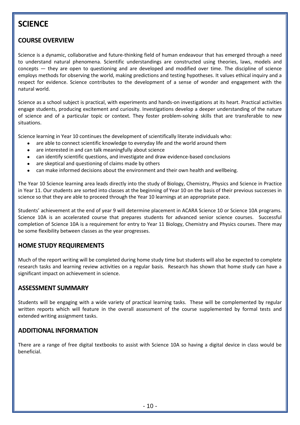### **SCIENCE**

### **COURSE OVERVIEW**

Science is a dynamic, collaborative and future-thinking field of human endeavour that has emerged through a need to understand natural phenomena. Scientific understandings are constructed using theories, laws, models and concepts — they are open to questioning and are developed and modified over time. The discipline of science employs methods for observing the world, making predictions and testing hypotheses. It values ethical inquiry and a respect for evidence. Science contributes to the development of a sense of wonder and engagement with the natural world.

Science as a school subject is practical, with experiments and hands-on investigations at its heart. Practical activities engage students, producing excitement and curiosity. Investigations develop a deeper understanding of the nature of science and of a particular topic or context. They foster problem-solving skills that are transferable to new situations.

Science learning in Year 10 continues the development of scientifically literate individuals who:

- are able to connect scientific knowledge to everyday life and the world around them
- are interested in and can talk meaningfully about science
- can identify scientific questions, and investigate and draw evidence-based conclusions
- are skeptical and questioning of claims made by others
- can make informed decisions about the environment and their own health and wellbeing.

The Year 10 Science learning area leads directly into the study of Biology, Chemistry, Physics and Science in Practice in Year 11. Our students are sorted into classes at the beginning of Year 10 on the basis of their previous successes in science so that they are able to proceed through the Year 10 learnings at an appropriate pace.

Students' achievement at the end of year 9 will determine placement in ACARA Science 10 or Science 10A programs. Science 10A is an accelerated course that prepares students for advanced senior science courses. Successful completion of Science 10A is a requirement for entry to Year 11 Biology, Chemistry and Physics courses. There may be some flexibility between classes as the year progresses.

### **HOME STUDY REQUIREMENTS**

Much of the report writing will be completed during home study time but students will also be expected to complete research tasks and learning review activities on a regular basis. Research has shown that home study can have a significant impact on achievement in science.

### **ASSESSMENT SUMMARY**

Students will be engaging with a wide variety of practical learning tasks. These will be complemented by regular written reports which will feature in the overall assessment of the course supplemented by formal tests and extended writing assignment tasks.

#### **ADDITIONAL INFORMATION**

There are a range of free digital textbooks to assist with Science 10A so having a digital device in class would be beneficial.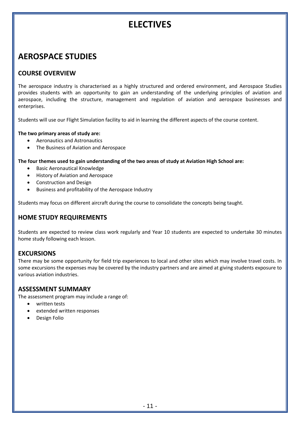# **ELECTIVES**

### **AEROSPACE STUDIES**

### **COURSE OVERVIEW**

The aerospace industry is characterised as a highly structured and ordered environment, and Aerospace Studies provides students with an opportunity to gain an understanding of the underlying principles of aviation and aerospace, including the structure, management and regulation of aviation and aerospace businesses and enterprises.

Students will use our Flight Simulation facility to aid in learning the different aspects of the course content.

#### **The two primary areas of study are:**

- Aeronautics and Astronautics
- The Business of Aviation and Aerospace

#### **The four themes used to gain understanding of the two areas of study at Aviation High School are:**

- Basic Aeronautical Knowledge
- History of Aviation and Aerospace
- Construction and Design
- Business and profitability of the Aerospace Industry

Students may focus on different aircraft during the course to consolidate the concepts being taught.

### **HOME STUDY REQUIREMENTS**

Students are expected to review class work regularly and Year 10 students are expected to undertake 30 minutes home study following each lesson.

### **EXCURSIONS**

There may be some opportunity for field trip experiences to local and other sites which may involve travel costs. In some excursions the expenses may be covered by the industry partners and are aimed at giving students exposure to various aviation industries.

#### **ASSESSMENT SUMMARY**

The assessment program may include a range of:

- written tests
- extended written responses
- Design Folio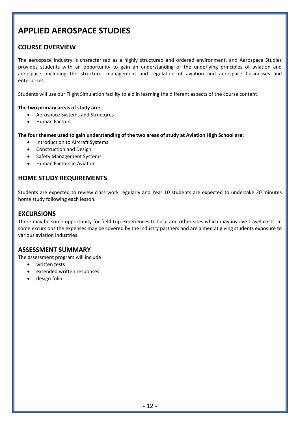### **APPLIED AEROSPACE STUDIES**

### **COURSE OVERVIEW**

The aerospace industry is characterised as a highly structured and ordered environment, and Aerospace Studies provides students with an opportunity to gain an understanding of the underlying principles of aviation and aerospace, including the structure, management and regulation of aviation and aerospace businesses and enterprises.

Students will use our Flight Simulation facility to aid in learning the different aspects of the course content.

#### **The two primary areas of study are:**

- Aerospace Systems and Structures
- Human Factors

**The four themes used to gain understanding of the two areas of study at Aviation High School are:**

- Introduction to Aircraft Systems
- Construction and Design
- Safety Management Systems
- Human Factors in Aviation

#### **HOME STUDY REQUIREMENTS**

Students are expected to review class work regularly and Year 10 students are expected to undertake 30 minutes home study following each lesson.

### **EXCURSIONS**

There may be some opportunity for field trip experiences to local and other sites which may involve travel costs. In some excursions the expenses may be covered by the industry partners and are aimed at giving students exposure to various aviation industries.

### **ASSESSMENT SUMMARY**

The assessment program will include

- written tests
- extended written responses
- design folio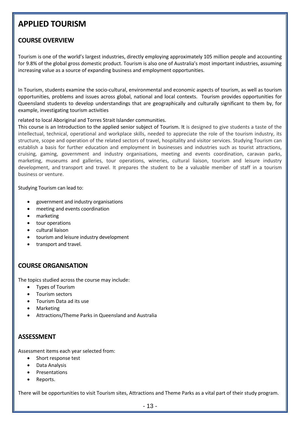### **APPLIED TOURISM**

### **COURSE OVERVIEW**

Tourism is one of the world's largest industries, directly employing approximately 105 million people and accounting for 9.8% of the global gross domestic product. Tourism is also one of Australia's most important industries, assuming increasing value as a source of expanding business and employment opportunities.

In Tourism, students examine the socio-cultural, environmental and economic aspects of tourism, as well as tourism opportunities, problems and issues across global, national and local contexts. Tourism provides opportunities for Queensland students to develop understandings that are geographically and culturally significant to them by, for example, investigating tourism activities

related to local Aboriginal and Torres Strait Islander communities.

This course is an Introduction to the applied senior subject of Tourism. It is designed to give students a taste of the intellectual, technical, operational and workplace skills, needed to appreciate the role of the tourism industry, its structure, scope and operation of the related sectors of travel, hospitality and visitor services. Studying Tourism can establish a basis for further education and employment in businesses and industries such as tourist attractions, cruising, gaming, government and industry organisations, meeting and events coordination, caravan parks, marketing, museums and galleries, tour operations, wineries, cultural liaison, tourism and leisure industry development, and transport and travel. It prepares the student to be a valuable member of staff in a tourism business or venture.

Studying Tourism can lead to:

- government and industry organisations
- meeting and events coordination
- marketing
- tour operations
- cultural liaison
- tourism and leisure industry development
- transport and travel.

### **COURSE ORGANISATION**

The topics studied across the course may include:

- Types of Tourism
- Tourism sectors
- Tourism Data ad its use
- **Marketing**
- Attractions/Theme Parks in Queensland and Australia

#### **ASSESSMENT**

Assessment items each year selected from:

- Short response test
- Data Analysis
- Presentations
- Reports.

There will be opportunities to visit Tourism sites, Attractions and Theme Parks as a vital part of their study program.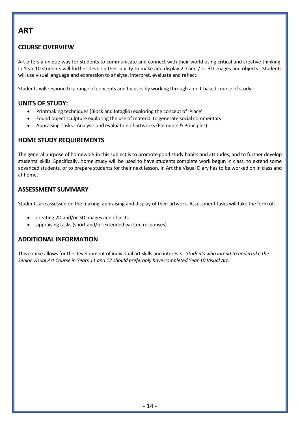### **ART**

### **COURSE OVERVIEW**

Art offers a unique way for students to communicate and connect with their world using critical and creative thinking. In Year 10 students will further develop their ability to make and display 2D and / or 3D images and objects. Students will use visual language and expression to analyse, interpret, evaluate and reflect.

Students will respond to a range of concepts and focuses by working through a unit-based course of study.

### **UNITS OF STUDY:**

- Printmaking techniques (Block and Intaglio) exploring the concept of 'Place'
- Found object sculpture exploring the use of material to generate social commentary
- Appraising Tasks Analysis and evaluation of artworks (Elements & Principles)

### **HOME STUDY REQUIREMENTS**

The general purpose of homework in this subject is to promote good study habits and attitudes, and to further develop students' skills. Specifically, home study will be used to have students complete work begun in class, to extend some advanced students, or to prepare students for their next lesson. In Art the Visual Diary has to be worked on in class and at home.

### **ASSESSMENT SUMMARY**

Students are assessed on the making, appraising and display of their artwork. Assessment tasks will take the form of:

- creating 2D and/or 3D images and objects
- appraising tasks (short and/or extended written responses).

### **ADDITIONAL INFORMATION**

This course allows for the development of individual art skills and interests. *Students who intend to undertake the Senior Visual Art Course in Years 11 and 12 should preferably have completed Year 10 Visual Art.*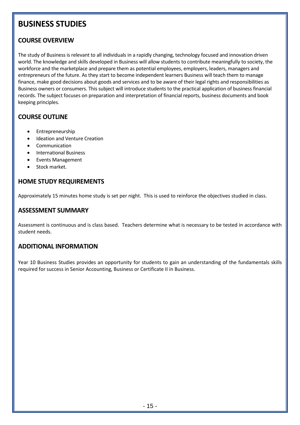### **BUSINESS STUDIES**

### **COURSE OVERVIEW**

The study of Business is relevant to all individuals in a rapidly changing, technology focused and innovation driven world. The knowledge and skills developed in Business will allow students to contribute meaningfully to society, the workforce and the marketplace and prepare them as potential employees, employers, leaders, managers and entrepreneurs of the future. As they start to become independent learners Business will teach them to manage finance, make good decisions about goods and services and to be aware of their legal rights and responsibilities as Business owners or consumers. This subject will introduce students to the practical application of business financial records. The subject focuses on preparation and interpretation of financial reports, business documents and book keeping principles.

### **COURSE OUTLINE**

- Entrepreneurship
- Ideation and Venture Creation
- **Communication**
- International Business
- Events Management
- Stock market.

### **HOME STUDY REQUIREMENTS**

Approximately 15 minutes home study is set per night. This is used to reinforce the objectives studied in class.

### **ASSESSMENT SUMMARY**

Assessment is continuous and is class based. Teachers determine what is necessary to be tested in accordance with student needs.

### **ADDITIONAL INFORMATION**

Year 10 Business Studies provides an opportunity for students to gain an understanding of the fundamentals skills required for success in Senior Accounting, Business or Certificate II in Business.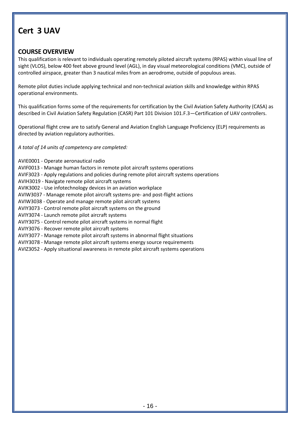### **Cert 3 UAV**

### **COURSE OVERVIEW**

This qualification is relevant to individuals operating remotely piloted aircraft systems (RPAS) within visual line of sight (VLOS), below 400 feet above ground level (AGL), in day visual meteorological conditions (VMC), outside of controlled airspace, greater than 3 nautical miles from an aerodrome, outside of populous areas.

Remote pilot duties include applying technical and non-technical aviation skills and knowledge within RPAS operational environments.

This qualification forms some of the requirements for certification by the Civil Aviation Safety Authority (CASA) as described in Civil Aviation Safety Regulation (CASR) Part 101 Division 101.F.3—Certification of UAV controllers.

Operational flight crew are to satisfy General and Aviation English Language Proficiency (ELP) requirements as directed by aviation regulatory authorities.

*A total of 14 units of competency are completed:*

AVIE0001 - Operate aeronautical radio

AVIF0013 - Manage human factors in remote pilot aircraft systems operations

AVIF3023 - Apply regulations and policies during remote pilot aircraft systems operations

AVIH3019 - Navigate remote pilot aircraft systems

AVIK3002 - Use infotechnology devices in an aviation workplace

AVIW3037 - Manage remote pilot aircraft systems pre- and post-flight actions

AVIW3038 - Operate and manage remote pilot aircraft systems

AVIY3073 - Control remote pilot aircraft systems on the ground

AVIY3074 - Launch remote pilot aircraft systems

AVIY3075 - Control remote pilot aircraft systems in normal flight

AVIY3076 - Recover remote pilot aircraft systems

AVIY3077 - Manage remote pilot aircraft systems in abnormal flight situations

AVIY3078 - Manage remote pilot aircraft systems energy source requirements

AVIZ3052 - Apply situational awareness in remote pilot aircraft systems operations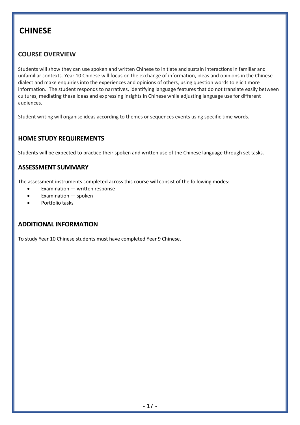### **CHINESE**

### **COURSE OVERVIEW**

Students will show they can use spoken and written Chinese to initiate and sustain interactions in familiar and unfamiliar contexts. Year 10 Chinese will focus on the exchange of information, ideas and opinions in the Chinese dialect and make enquiries into the experiences and opinions of others, using question words to elicit more information. The student responds to narratives, identifying language features that do not translate easily between cultures, mediating these ideas and expressing insights in Chinese while adjusting language use for different audiences.

Student writing will organise ideas according to themes or sequences events using specific time words.

### **HOME STUDY REQUIREMENTS**

Students will be expected to practice their spoken and written use of the Chinese language through set tasks.

### **ASSESSMENT SUMMARY**

The assessment instruments completed across this course will consist of the following modes:

- Examination  $-$  written response
- Examination spoken
- Portfolio tasks

### **ADDITIONAL INFORMATION**

To study Year 10 Chinese students must have completed Year 9 Chinese.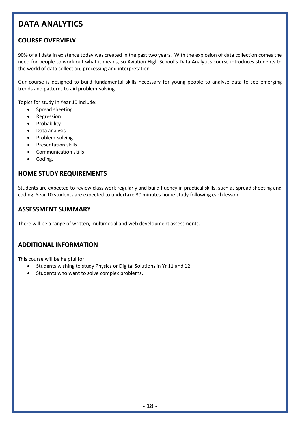# **DATA ANALYTICS**

### **COURSE OVERVIEW**

90% of all data in existence today was created in the past two years. With the explosion of data collection comes the need for people to work out what it means, so Aviation High School's Data Analytics course introduces students to the world of data collection, processing and interpretation.

Our course is designed to build fundamental skills necessary for young people to analyse data to see emerging trends and patterns to aid problem-solving.

Topics for study in Year 10 include:

- Spread sheeting
- Regression
- Probability
- Data analysis
- Problem-solving
- Presentation skills
- Communication skills
- Coding.

### **HOME STUDY REQUIREMENTS**

Students are expected to review class work regularly and build fluency in practical skills, such as spread sheeting and coding. Year 10 students are expected to undertake 30 minutes home study following each lesson.

#### **ASSESSMENT SUMMARY**

There will be a range of written, multimodal and web development assessments.

### **ADDITIONAL INFORMATION**

This course will be helpful for:

- Students wishing to study Physics or Digital Solutions in Yr 11 and 12.
- Students who want to solve complex problems.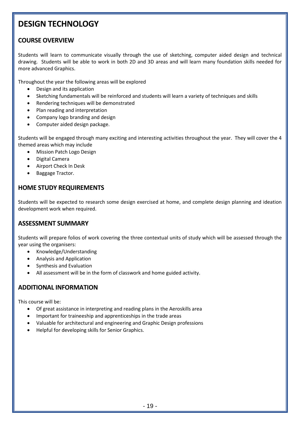### **DESIGN TECHNOLOGY**

### **COURSE OVERVIEW**

Students will learn to communicate visually through the use of sketching, computer aided design and technical drawing. Students will be able to work in both 2D and 3D areas and will learn many foundation skills needed for more advanced Graphics.

Throughout the year the following areas will be explored

- Design and its application
- Sketching fundamentals will be reinforced and students will learn a variety of techniques and skills
- Rendering techniques will be demonstrated
- Plan reading and interpretation
- Company logo branding and design
- Computer aided design package.

Students will be engaged through many exciting and interesting activities throughout the year. They will cover the 4 themed areas which may include

- Mission Patch Logo Design
- Digital Camera
- Airport Check In Desk
- Baggage Tractor.

### **HOME STUDY REQUIREMENTS**

Students will be expected to research some design exercised at home, and complete design planning and ideation development work when required.

### **ASSESSMENT SUMMARY**

Students will prepare folios of work covering the three contextual units of study which will be assessed through the year using the organisers:

- Knowledge/Understanding
- Analysis and Application
- Synthesis and Evaluation
- All assessment will be in the form of classwork and home guided activity.

### **ADDITIONAL INFORMATION**

This course will be:

- Of great assistance in interpreting and reading plans in the Aeroskills area
- Important for traineeship and apprenticeships in the trade areas
- Valuable for architectural and engineering and Graphic Design professions
- Helpful for developing skills for Senior Graphics.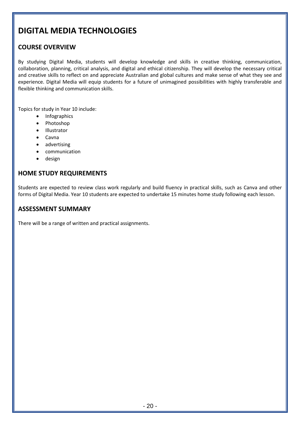### **DIGITAL MEDIA TECHNOLOGIES**

### **COURSE OVERVIEW**

By studying Digital Media, students will develop knowledge and skills in creative thinking, communication, collaboration, planning, critical analysis, and digital and ethical citizenship. They will develop the necessary critical and creative skills to reflect on and appreciate Australian and global cultures and make sense of what they see and experience. Digital Media will equip students for a future of unimagined possibilities with highly transferable and flexible thinking and communication skills.

Topics for study in Year 10 include:

- Infographics
- Photoshop
- Illustrator
- Cavna
- advertising
- communication
- design

### **HOME STUDY REQUIREMENTS**

Students are expected to review class work regularly and build fluency in practical skills, such as Canva and other forms of Digital Media. Year 10 students are expected to undertake 15 minutes home study following each lesson.

#### **ASSESSMENT SUMMARY**

There will be a range of written and practical assignments.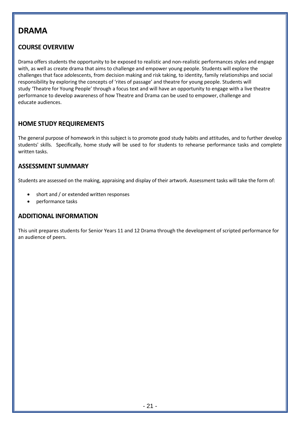### **DRAMA**

### **COURSE OVERVIEW**

Drama offers students the opportunity to be exposed to realistic and non-realistic performances styles and engage with, as well as create drama that aims to challenge and empower young people. Students will explore the challenges that face adolescents, from decision making and risk taking, to identity, family relationships and social responsibility by exploring the concepts of 'rites of passage' and theatre for young people. Students will study 'Theatre for Young People' through a focus text and will have an opportunity to engage with a live theatre performance to develop awareness of how Theatre and Drama can be used to empower, challenge and educate audiences.

### **HOME STUDY REQUIREMENTS**

The general purpose of homework in this subject is to promote good study habits and attitudes, and to further develop students' skills. Specifically, home study will be used to for students to rehearse performance tasks and complete written tasks.

### **ASSESSMENT SUMMARY**

Students are assessed on the making, appraising and display of their artwork. Assessment tasks will take the form of:

- short and / or extended written responses
- performance tasks

### **ADDITIONAL INFORMATION**

This unit prepares students for Senior Years 11 and 12 Drama through the development of scripted performance for an audience of peers.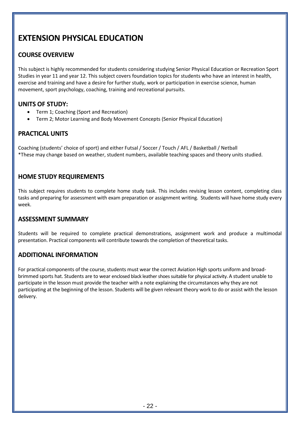# **EXTENSION PHYSICAL EDUCATION**

### **COURSE OVERVIEW**

This subject is highly recommended for students considering studying Senior Physical Education or Recreation Sport Studies in year 11 and year 12. This subject covers foundation topics for students who have an interest in health, exercise and training and have a desire for further study, work or participation in exercise science, human movement, sport psychology, coaching, training and recreational pursuits.

### **UNITS OF STUDY:**

- Term 1; Coaching (Sport and Recreation)
- Term 2; Motor Learning and Body Movement Concepts (Senior Physical Education)

### **PRACTICAL UNITS**

Coaching (students' choice of sport) and either Futsal / Soccer / Touch / AFL / Basketball / Netball \*These may change based on weather, student numbers, available teaching spaces and theory units studied.

### **HOME STUDY REQUIREMENTS**

This subject requires students to complete home study task. This includes revising lesson content, completing class tasks and preparing for assessment with exam preparation or assignment writing. Students will have home study every week.

### **ASSESSMENT SUMMARY**

Students will be required to complete practical demonstrations, assignment work and produce a multimodal presentation. Practical components will contribute towards the completion of theoretical tasks.

### **ADDITIONAL INFORMATION**

For practical components of the course, students must wear the correct Aviation High sports uniform and broadbrimmed sports hat. Students are to wear enclosed black leather shoes suitable for physical activity. A student unable to participate in the lesson must provide the teacher with a note explaining the circumstances why they are not participating at the beginning of the lesson. Students will be given relevant theory work to do or assist with the lesson delivery.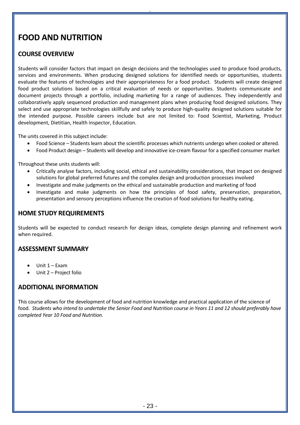# **FOOD AND NUTRITION**

### **COURSE OVERVIEW**

Students will consider factors that impact on design decisions and the technologies used to produce food products, services and environments. When producing designed solutions for identified needs or opportunities, students evaluate the features of technologies and their appropriateness for a food product. Students will create designed food product solutions based on a critical evaluation of needs or opportunities. Students communicate and document projects through a portfolio, including marketing for a range of audiences. They independently and collaboratively apply sequenced production and management plans when producing food designed solutions. They select and use appropriate technologies skillfully and safely to produce high-quality designed solutions suitable for the intended purpose. Possible careers include but are not limited to: Food Scientist, Marketing, Product development, Dietitian, Health inspector, Education.

.

The units covered in this subject include:

- Food Science Students learn about the scientific processes which nutrients undergo when cooked or altered.
- Food Product design Students will develop and innovative ice-cream flavour for a specified consumer market

Throughout these units students will:

- Critically analyse factors, including social, ethical and sustainability considerations, that impact on designed solutions for global preferred futures and the complex design and production processes involved
- Investigate and make judgments on the ethical and sustainable production and marketing of food
- Investigate and make judgments on how the principles of food safety, preservation, preparation, presentation and sensory perceptions influence the creation of food solutions for healthy eating.

### **HOME STUDY REQUIREMENTS**

Students will be expected to conduct research for design ideas, complete design planning and refinement work when required.

### **ASSESSMENT SUMMARY**

- Unit 1 Exam
- Unit 2 Project folio

### **ADDITIONAL INFORMATION**

This course allows for the development of food and nutrition knowledge and practical application of the science of food. *Students who intend to undertake the Senior Food and Nutrition course in Years 11 and 12 should preferably have completed Year 10 Food and Nutrition.*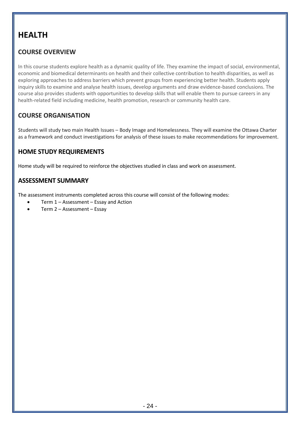# **HEALTH**

### **COURSE OVERVIEW**

In this course students explore health as a dynamic quality of life. They examine the impact of social, environmental, economic and biomedical determinants on health and their collective contribution to health disparities, as well as exploring approaches to address barriers which prevent groups from experiencing better health. Students apply inquiry skills to examine and analyse health issues, develop arguments and draw evidence-based conclusions. The course also provides students with opportunities to develop skills that will enable them to pursue careers in any health-related field including medicine, health promotion, research or community health care.

### **COURSE ORGANISATION**

Students will study two main Health Issues – Body Image and Homelessness. They will examine the Ottawa Charter as a framework and conduct investigations for analysis of these issues to make recommendations for improvement.

### **HOME STUDY REQUIREMENTS**

Home study will be required to reinforce the objectives studied in class and work on assessment.

### **ASSESSMENT SUMMARY**

The assessment instruments completed across this course will consist of the following modes:

- Term 1 Assessment Essay and Action
- Term 2 Assessment Essay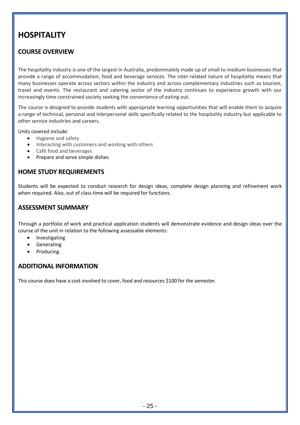## **HOSPITALITY**

### **COURSE OVERVIEW**

The hospitality industry is one of the largest in Australia, predominately made up of small to medium businesses that provide a range of accommodation, food and beverage services. The inter-related nature of hospitality means that many businesses operate across sectors within the industry and across complementary industries such as tourism, travel and events. The restaurant and catering sector of the industry continues to experience growth with our increasingly time constrained society seeking the convenience of eating out.

The course is designed to provide students with appropriate learning opportunities that will enable them to acquire a range of technical, personal and interpersonal skills specifically related to the hospitality industry but applicable to other service industries and careers.

Units covered include:

- Hygiene and safety
- Interacting with customers and working with others
- Café food and beverages
- Prepare and serve simple dishes

### **HOME STUDY REQUIREMENTS**

Students will be expected to conduct research for design ideas, complete design planning and refinement work when required. Also, out of class time will be required for functions.

### **ASSESSMENT SUMMARY**

Through a portfolio of work and practical application students will demonstrate evidence and design ideas over the course of the unit in relation to the following assessable elements:

- **Investigating**
- Generating
- Producing.

### **ADDITIONAL INFORMATION**

This course does have a cost involved to cover, food and resources \$100 for the semester*.*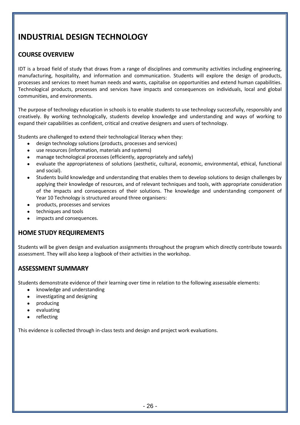# **INDUSTRIAL DESIGN TECHNOLOGY**

### **COURSE OVERVIEW**

IDT is a broad field of study that draws from a range of disciplines and community activities including engineering, manufacturing, hospitality, and information and communication. Students will explore the design of products, processes and services to meet human needs and wants, capitalise on opportunities and extend human capabilities. Technological products, processes and services have impacts and consequences on individuals, local and global communities, and environments.

The purpose of technology education in schools is to enable students to use technology successfully, responsibly and creatively. By working technologically, students develop knowledge and understanding and ways of working to expand their capabilities as confident, critical and creative designers and users of technology.

Students are challenged to extend their technological literacy when they:

- design technology solutions (products, processes and services)
- use resources (information, materials and systems)
- manage technological processes (efficiently, appropriately and safely)
- evaluate the appropriateness of solutions (aesthetic, cultural, economic, environmental, ethical, functional and social).
- Students build knowledge and understanding that enables them to develop solutions to design challenges by applying their knowledge of resources, and of relevant techniques and tools, with appropriate consideration of the impacts and consequences of their solutions. The knowledge and understanding component of Year 10 Technology is structured around three organisers:
- products, processes and services
- techniques and tools
- impacts and consequences.

### **HOME STUDY REQUIREMENTS**

Students will be given design and evaluation assignments throughout the program which directly contribute towards assessment. They will also keep a logbook of their activities in the workshop.

### **ASSESSMENT SUMMARY**

Students demonstrate evidence of their learning over time in relation to the following assessable elements:

- knowledge and understanding
- investigating and designing
- producing
- evaluating
- reflecting

This evidence is collected through in-class tests and design and project work evaluations.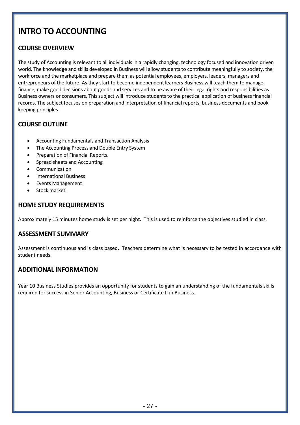# **INTRO TO ACCOUNTING**

### **COURSE OVERVIEW**

The study of Accounting is relevant to all individuals in a rapidly changing, technology focused and innovation driven world. The knowledge and skills developed in Business will allow students to contribute meaningfully to society, the workforce and the marketplace and prepare them as potential employees, employers, leaders, managers and entrepreneurs of the future. As they start to become independent learners Business will teach them to manage finance, make good decisions about goods and services and to be aware of their legal rights and responsibilities as Business owners or consumers. This subject will introduce students to the practical application of business financial records. The subject focuses on preparation and interpretation of financial reports, business documents and book keeping principles.

### **COURSE OUTLINE**

- Accounting Fundamentals and Transaction Analysis
- The Accounting Process and Double Entry System
- Preparation of Financial Reports.
- Spread sheets and Accounting
- **Communication**
- International Business
- Events Management
- Stock market.

### **HOME STUDY REQUIREMENTS**

Approximately 15 minutes home study is set per night. This is used to reinforce the objectives studied in class.

### **ASSESSMENT SUMMARY**

Assessment is continuous and is class based. Teachers determine what is necessary to be tested in accordance with student needs.

### **ADDITIONAL INFORMATION**

Year 10 Business Studies provides an opportunity for students to gain an understanding of the fundamentals skills required for success in Senior Accounting, Business or Certificate II in Business.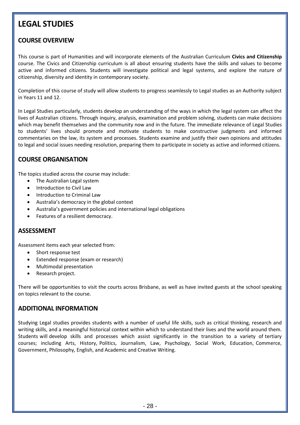### **LEGAL STUDIES**

### **COURSE OVERVIEW**

This course is part of Humanities and will incorporate elements of the Australian Curriculum **Civics and Citizenship** course. The Civics and Citizenship curriculum is all about ensuring students have the skills and values to become active and informed citizens. Students will investigate political and legal systems, and explore the nature of citizenship, diversity and identity in contemporary society.

Completion of this course of study will allow students to progress seamlessly to Legal studies as an Authority subject in Years 11 and 12.

In Legal Studies particularly, students develop an understanding of the ways in which the legal system can affect the lives of Australian citizens. Through inquiry, analysis, examination and problem solving, students can make decisions which may benefit themselves and the community now and in the future. The immediate relevance of Legal Studies to students' lives should promote and motivate students to make constructive judgments and informed commentaries on the law, its system and processes. Students examine and justify their own opinions and attitudes to legal and social issues needing resolution, preparing them to participate in society as active and informed citizens.

### **COURSE ORGANISATION**

The topics studied across the course may include:

- The Australian Legal system
- Introduction to Civil Law
- Introduction to Criminal Law
- Australia's democracy in the global context
- Australia's government policies and international legal obligations
- Features of a resilient democracy.

### **ASSESSMENT**

Assessment items each year selected from:

- Short response test
- Extended response (exam or research)
- Multimodal presentation
- Research project.

There will be opportunities to visit the courts across Brisbane, as well as have invited guests at the school speaking on topics relevant to the course.

### **ADDITIONAL INFORMATION**

Studying Legal studies provides students with a number of useful life skills, such as critical thinking, research and writing skills, and a meaningful historical context within which to understand their lives and the world around them. Students will develop skills and processes which assist significantly in the transition to a variety of tertiary courses; including Arts, History, Politics, Journalism, Law, Psychology, Social Work, Education, Commerce, Government, Philosophy, English, and Academic and Creative Writing.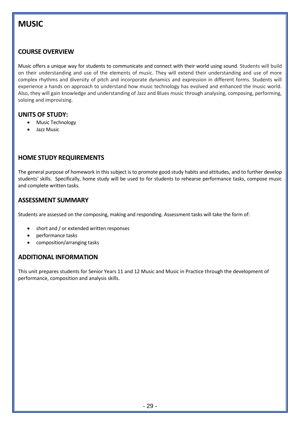## **MUSIC**

### **COURSE OVERVIEW**

Music offers a unique way for students to communicate and connect with their world using sound. Students will build on their understanding and use of the elements of music. They will extend their understanding and use of more complex rhythms and diversity of pitch and incorporate dynamics and expression in different forms. Students will experience a hands on approach to understand how music technology has evolved and enhanced the music world. Also, they will gain knowledge and understanding of Jazz and Blues music through analysing, composing, performing, soloing and improvising.

### **UNITS OF STUDY:**

- Music Technology
- Jazz Music

### **HOME STUDY REQUIREMENTS**

The general purpose of homework in this subject is to promote good study habits and attitudes, and to further develop students' skills. Specifically, home study will be used to for students to rehearse performance tasks, compose music and complete written tasks.

### **ASSESSMENT SUMMARY**

Students are assessed on the composing, making and responding. Assessment tasks will take the form of:

- short and / or extended written responses
- performance tasks
- composition/arranging tasks

### **ADDITIONAL INFORMATION**

This unit prepares students for Senior Years 11 and 12 Music and Music in Practice through the development of performance, composition and analysis skills.